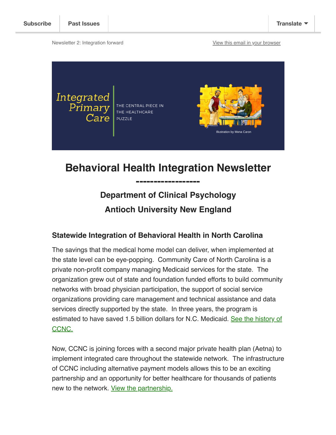Newsletter 2: Integration forward **[View this email in your browser](https://mailchi.mp/0d3064ef2718/h?e=148648d69c)** 



# **Behavioral Health Integration Newsletter**

**------------------**

## **Department of Clinical Psychology Antioch University New England**

### **Statewide Integration of Behavioral Health in North Carolina**

The savings that the medical home model can deliver, when implemented at the state level can be eye-popping. Community Care of North Carolina is a private non-profit company managing Medicaid services for the state. The organization grew out of state and foundation funded efforts to build community networks with broad physician participation, the support of social service organizations providing care management and technical assistance and data services directly supported by the state. In three years, the program is [estimated to have saved 1.5 billion dollars for N.C. Medicaid. See the history of](https://www.communitycarenc.org/knowledge-center/history-of-ccnc) CCNC.

Now, CCNC is joining forces with a second major private health plan (Aetna) to implement integrated care throughout the statewide network. The infrastructure of CCNC including alternative payment models allows this to be an exciting partnership and an opportunity for better healthcare for thousands of patients new to the network. [View the partnership.](https://healthpayerintelligence.com/news/payers-support-integrated-care-services-for-nc-medicaid-patients)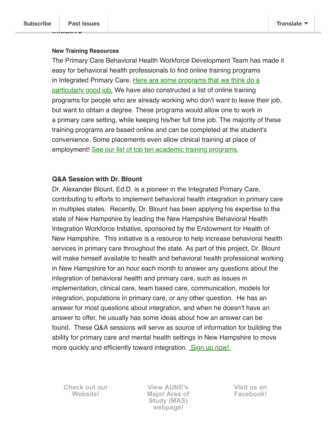\_\_|\_\_\_\_\_\_\_\_\_

#### **New Training Resources**

The Primary Care Behavioral Health Workforce Development Team has made it easy for behavioral health professionals to find online training programs [in Integrated Primary Care. Here are some programs that we think do a](https://sites.google.com/view/nhpcbhworkforce/training/post-degree-training) particularly good job. We have also constructed a list of online training programs for people who are already working who don't want to leave their job, but want to obtain a degree. These programs would allow one to work in a primary care setting, while keeping his/her full time job. The majority of these training programs are based online and can be completed at the student's convenience. Some placements even allow clinical training at place of employment! [See our list of top ten academic training programs.](https://sites.google.com/view/nhpcbhworkforce/academic-programs/masters-programs)

### **Q&A Session with Dr. Blount**

Dr. Alexander Blount, Ed.D. is a pioneer in the Integrated Primary Care, contributing to efforts to implement behavioral health integration in primary care in multiples states. Recently, Dr. Blount has been applying his expertise to the state of New Hampshire by leading the New Hampshire Behavioral Health Integration Workforce Initiative, sponsored by the Endowment for Health of New Hampshire. This initiative is a resource to help increase behavioral health services in primary care throughout the state. As part of this project, Dr. Blount will make himself available to health and behavioral health professional working in New Hampshire for an hour each month to answer any questions about the integration of behavioral health and primary care, such as issues in implementation, clinical care, team based care, communication, models for integration, populations in primary care, or any other question. He has an answer for most questions about integration, and when he doesn't have an answer to offer, he usually has some ideas about how an answer can be found. These Q&A sessions will serve as source of information for building the ability for primary care and mental health settings in New Hampshire to move more quickly and efficiently toward integration.  [Sign up now!](https://sites.google.com/view/nhpcbhworkforce/events/q-a-with-dr-blount) 

**[Check out our](http://www.integratedprimarycare.com/) Website!**

**View AUNE's [Major Area of](https://www.antioch.edu/new-england/degrees-programs/psychology-degree/clinical-psychology-psyd/behavioral-health-integration-and-population-health/) Study (MAS) webpage!**

**[Visit us on](https://www.facebook.com/BehavioralHealthInteg/) Facebook!**